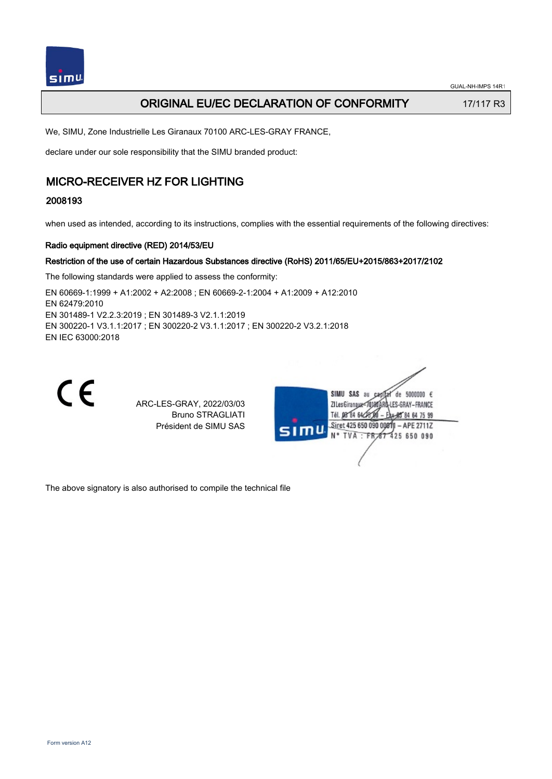

# **ORIGINAL EU/EC DECLARATION OF CONFORMITY** 17/117 R3

We, SIMU, Zone Industrielle Les Giranaux 70100 ARC-LES-GRAY FRANCE,

declare under our sole responsibility that the SIMU branded product:

# MICRO-RECEIVER HZ FOR LIGHTING

## 2008193

when used as intended, according to its instructions, complies with the essential requirements of the following directives:

### Radio equipment directive (RED) 2014/53/EU

### Restriction of the use of certain Hazardous Substances directive (RoHS) 2011/65/EU+2015/863+2017/2102

The following standards were applied to assess the conformity:

EN 60669‑1:1999 + A1:2002 + A2:2008 ; EN 60669‑2‑1:2004 + A1:2009 + A12:2010 EN 62479:2010 EN 301489‑1 V2.2.3:2019 ; EN 301489‑3 V2.1.1:2019 EN 300220‑1 V3.1.1:2017 ; EN 300220‑2 V3.1.1:2017 ; EN 300220‑2 V3.2.1:2018 EN IEC 63000:2018



ARC-LES-GRAY, 2022/03/03 Bruno STRAGLIATI Président de SIMU SAS



The above signatory is also authorised to compile the technical file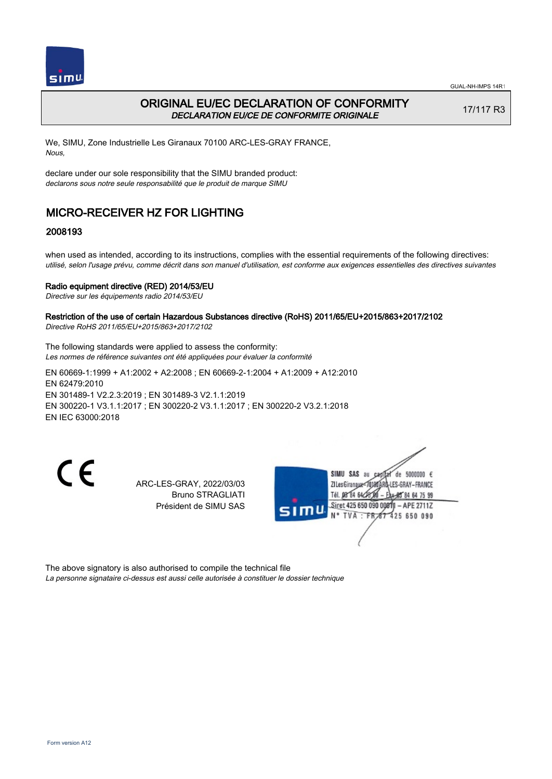

# ORIGINAL EU/EC DECLARATION OF CONFORMITY DECLARATION EU/CE DE CONFORMITE ORIGINALE

17/117 R3

We, SIMU, Zone Industrielle Les Giranaux 70100 ARC-LES-GRAY FRANCE, Nous,

declare under our sole responsibility that the SIMU branded product: declarons sous notre seule responsabilité que le produit de marque SIMU

# MICRO-RECEIVER HZ FOR LIGHTING

## 2008193

when used as intended, according to its instructions, complies with the essential requirements of the following directives: utilisé, selon l'usage prévu, comme décrit dans son manuel d'utilisation, est conforme aux exigences essentielles des directives suivantes

#### Radio equipment directive (RED) 2014/53/EU

Directive sur les équipements radio 2014/53/EU

#### Restriction of the use of certain Hazardous Substances directive (RoHS) 2011/65/EU+2015/863+2017/2102 Directive RoHS 2011/65/EU+2015/863+2017/2102

The following standards were applied to assess the conformity: Les normes de référence suivantes ont été appliquées pour évaluer la conformité

EN 60669‑1:1999 + A1:2002 + A2:2008 ; EN 60669‑2‑1:2004 + A1:2009 + A12:2010 EN 62479:2010 EN 301489‑1 V2.2.3:2019 ; EN 301489‑3 V2.1.1:2019 EN 300220‑1 V3.1.1:2017 ; EN 300220‑2 V3.1.1:2017 ; EN 300220‑2 V3.2.1:2018 EN IEC 63000:2018

C E

ARC-LES-GRAY, 2022/03/03 Bruno STRAGLIATI Président de SIMU SAS



The above signatory is also authorised to compile the technical file La personne signataire ci-dessus est aussi celle autorisée à constituer le dossier technique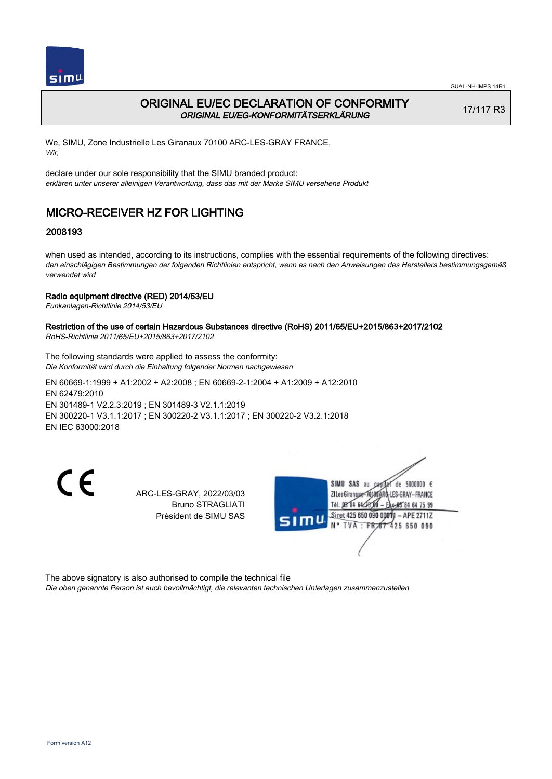

# ORIGINAL EU/EC DECLARATION OF CONFORMITY ORIGINAL EU/EG-KONFORMITÄTSERKLÄRUNG

17/117 R3

We, SIMU, Zone Industrielle Les Giranaux 70100 ARC-LES-GRAY FRANCE, Wir,

declare under our sole responsibility that the SIMU branded product: erklären unter unserer alleinigen Verantwortung, dass das mit der Marke SIMU versehene Produkt

# MICRO-RECEIVER HZ FOR LIGHTING

## 2008193

when used as intended, according to its instructions, complies with the essential requirements of the following directives: den einschlägigen Bestimmungen der folgenden Richtlinien entspricht, wenn es nach den Anweisungen des Herstellers bestimmungsgemäß verwendet wird

#### Radio equipment directive (RED) 2014/53/EU

Funkanlagen-Richtlinie 2014/53/EU

#### Restriction of the use of certain Hazardous Substances directive (RoHS) 2011/65/EU+2015/863+2017/2102 RoHS-Richtlinie 2011/65/EU+2015/863+2017/2102

The following standards were applied to assess the conformity: Die Konformität wird durch die Einhaltung folgender Normen nachgewiesen

EN 60669‑1:1999 + A1:2002 + A2:2008 ; EN 60669‑2‑1:2004 + A1:2009 + A12:2010 EN 62479:2010 EN 301489‑1 V2.2.3:2019 ; EN 301489‑3 V2.1.1:2019 EN 300220‑1 V3.1.1:2017 ; EN 300220‑2 V3.1.1:2017 ; EN 300220‑2 V3.2.1:2018 EN IEC 63000:2018

 $\epsilon$ 

ARC-LES-GRAY, 2022/03/03 Bruno STRAGLIATI Président de SIMU SAS



The above signatory is also authorised to compile the technical file Die oben genannte Person ist auch bevollmächtigt, die relevanten technischen Unterlagen zusammenzustellen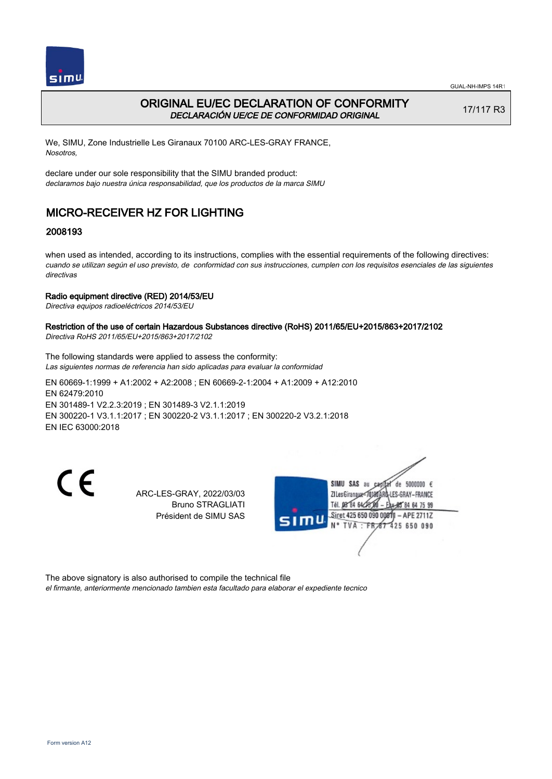

# ORIGINAL EU/EC DECLARATION OF CONFORMITY DECLARACIÓN UE/CE DE CONFORMIDAD ORIGINAL

17/117 R3

We, SIMU, Zone Industrielle Les Giranaux 70100 ARC-LES-GRAY FRANCE, Nosotros,

declare under our sole responsibility that the SIMU branded product: declaramos bajo nuestra única responsabilidad, que los productos de la marca SIMU

# MICRO-RECEIVER HZ FOR LIGHTING

## 2008193

when used as intended, according to its instructions, complies with the essential requirements of the following directives: cuando se utilizan según el uso previsto, de conformidad con sus instrucciones, cumplen con los requisitos esenciales de las siguientes directivas

#### Radio equipment directive (RED) 2014/53/EU

Directiva equipos radioeléctricos 2014/53/EU

# Restriction of the use of certain Hazardous Substances directive (RoHS) 2011/65/EU+2015/863+2017/2102

Directiva RoHS 2011/65/EU+2015/863+2017/2102

The following standards were applied to assess the conformity: Las siguientes normas de referencia han sido aplicadas para evaluar la conformidad

EN 60669‑1:1999 + A1:2002 + A2:2008 ; EN 60669‑2‑1:2004 + A1:2009 + A12:2010 EN 62479:2010 EN 301489‑1 V2.2.3:2019 ; EN 301489‑3 V2.1.1:2019 EN 300220‑1 V3.1.1:2017 ; EN 300220‑2 V3.1.1:2017 ; EN 300220‑2 V3.2.1:2018 EN IEC 63000:2018

 $\epsilon$ 

ARC-LES-GRAY, 2022/03/03 Bruno STRAGLIATI Président de SIMU SAS



The above signatory is also authorised to compile the technical file el firmante, anteriormente mencionado tambien esta facultado para elaborar el expediente tecnico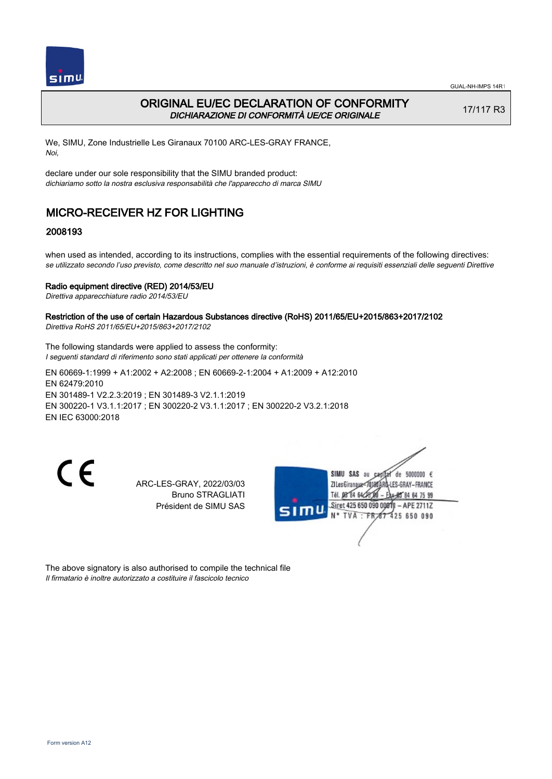

# ORIGINAL EU/EC DECLARATION OF CONFORMITY DICHIARAZIONE DI CONFORMITÀ UE/CE ORIGINALE

17/117 R3

We, SIMU, Zone Industrielle Les Giranaux 70100 ARC-LES-GRAY FRANCE, Noi,

declare under our sole responsibility that the SIMU branded product: dichiariamo sotto la nostra esclusiva responsabilità che l'appareccho di marca SIMU

# MICRO-RECEIVER HZ FOR LIGHTING

## 2008193

when used as intended, according to its instructions, complies with the essential requirements of the following directives: se utilizzato secondo l'uso previsto, come descritto nel suo manuale d'istruzioni, è conforme ai requisiti essenziali delle seguenti Direttive

### Radio equipment directive (RED) 2014/53/EU

Direttiva apparecchiature radio 2014/53/EU

#### Restriction of the use of certain Hazardous Substances directive (RoHS) 2011/65/EU+2015/863+2017/2102 Direttiva RoHS 2011/65/EU+2015/863+2017/2102

The following standards were applied to assess the conformity: I seguenti standard di riferimento sono stati applicati per ottenere la conformità

EN 60669‑1:1999 + A1:2002 + A2:2008 ; EN 60669‑2‑1:2004 + A1:2009 + A12:2010 EN 62479:2010 EN 301489‑1 V2.2.3:2019 ; EN 301489‑3 V2.1.1:2019 EN 300220‑1 V3.1.1:2017 ; EN 300220‑2 V3.1.1:2017 ; EN 300220‑2 V3.2.1:2018 EN IEC 63000:2018

 $\epsilon$ 

ARC-LES-GRAY, 2022/03/03 Bruno STRAGLIATI Président de SIMU SAS



The above signatory is also authorised to compile the technical file Il firmatario è inoltre autorizzato a costituire il fascicolo tecnico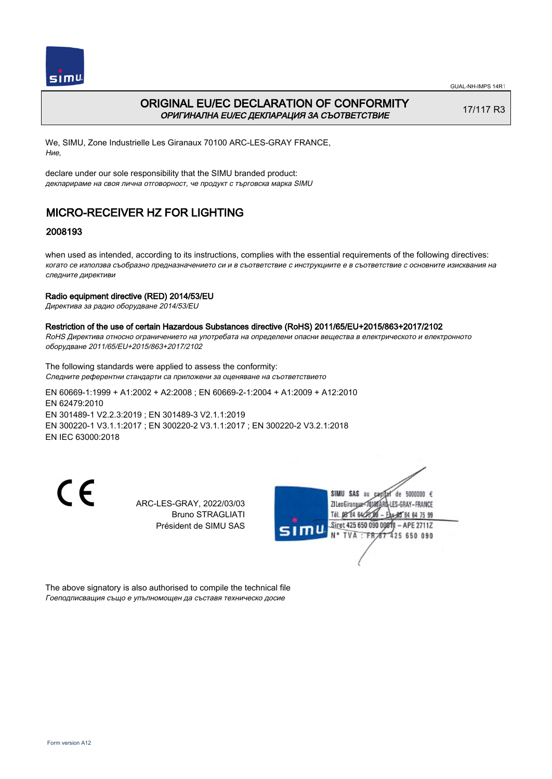

# ORIGINAL EU/EC DECLARATION OF CONFORMITY ОРИГИНАЛНА EU/EC ДЕКЛАРАЦИЯ ЗА СЪОТВЕТСТВИЕ

17/117 R3

We, SIMU, Zone Industrielle Les Giranaux 70100 ARC-LES-GRAY FRANCE, Ние,

declare under our sole responsibility that the SIMU branded product: декларираме на своя лична отговорност, че продукт с търговска марка SIMU

# MICRO-RECEIVER HZ FOR LIGHTING

## 2008193

when used as intended, according to its instructions, complies with the essential requirements of the following directives: когато се използва съобразно предназначението си и в съответствие с инструкциите е в съответствие с основните изисквания на следните директиви

#### Radio equipment directive (RED) 2014/53/EU

Директива за радио оборудване 2014/53/EU

#### Restriction of the use of certain Hazardous Substances directive (RoHS) 2011/65/EU+2015/863+2017/2102

RoHS Директива относно ограничението на употребата на определени опасни вещества в електрическото и електронното оборудване 2011/65/EU+2015/863+2017/2102

The following standards were applied to assess the conformity: Следните референтни стандарти са приложени за оценяване на съответствието

EN 60669‑1:1999 + A1:2002 + A2:2008 ; EN 60669‑2‑1:2004 + A1:2009 + A12:2010 EN 62479:2010 EN 301489‑1 V2.2.3:2019 ; EN 301489‑3 V2.1.1:2019 EN 300220‑1 V3.1.1:2017 ; EN 300220‑2 V3.1.1:2017 ; EN 300220‑2 V3.2.1:2018 EN IEC 63000:2018

 $\epsilon$ 

ARC-LES-GRAY, 2022/03/03 Bruno STRAGLIATI Président de SIMU SAS



The above signatory is also authorised to compile the technical file Гоеподписващия също е упълномощен да съставя техническо досие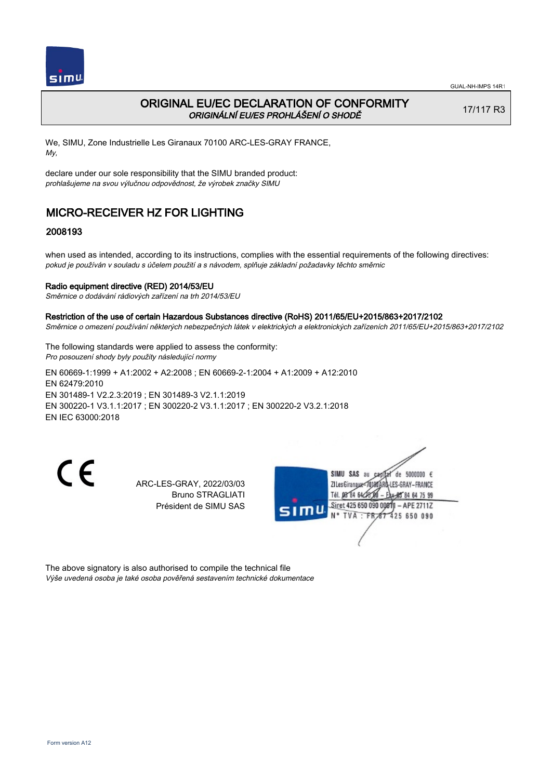

# ORIGINAL EU/EC DECLARATION OF CONFORMITY ORIGINÁLNÍ EU/ES PROHLÁŠENÍ O SHODĚ

17/117 R3

We, SIMU, Zone Industrielle Les Giranaux 70100 ARC-LES-GRAY FRANCE, My,

declare under our sole responsibility that the SIMU branded product: prohlašujeme na svou výlučnou odpovědnost, že výrobek značky SIMU

# MICRO-RECEIVER HZ FOR LIGHTING

## 2008193

when used as intended, according to its instructions, complies with the essential requirements of the following directives: pokud je používán v souladu s účelem použití a s návodem, splňuje základní požadavky těchto směrnic

#### Radio equipment directive (RED) 2014/53/EU

Směrnice o dodávání rádiových zařízení na trh 2014/53/EU

Restriction of the use of certain Hazardous Substances directive (RoHS) 2011/65/EU+2015/863+2017/2102 Směrnice o omezení používání některých nebezpečných látek v elektrických a elektronických zařízeních 2011/65/EU+2015/863+2017/2102

The following standards were applied to assess the conformity: Pro posouzení shody byly použity následující normy EN 60669‑1:1999 + A1:2002 + A2:2008 ; EN 60669‑2‑1:2004 + A1:2009 + A12:2010 EN 62479:2010 EN 301489‑1 V2.2.3:2019 ; EN 301489‑3 V2.1.1:2019 EN 300220‑1 V3.1.1:2017 ; EN 300220‑2 V3.1.1:2017 ; EN 300220‑2 V3.2.1:2018 EN IEC 63000:2018

C E

ARC-LES-GRAY, 2022/03/03 Bruno STRAGLIATI Président de SIMU SAS



The above signatory is also authorised to compile the technical file Výše uvedená osoba je také osoba pověřená sestavením technické dokumentace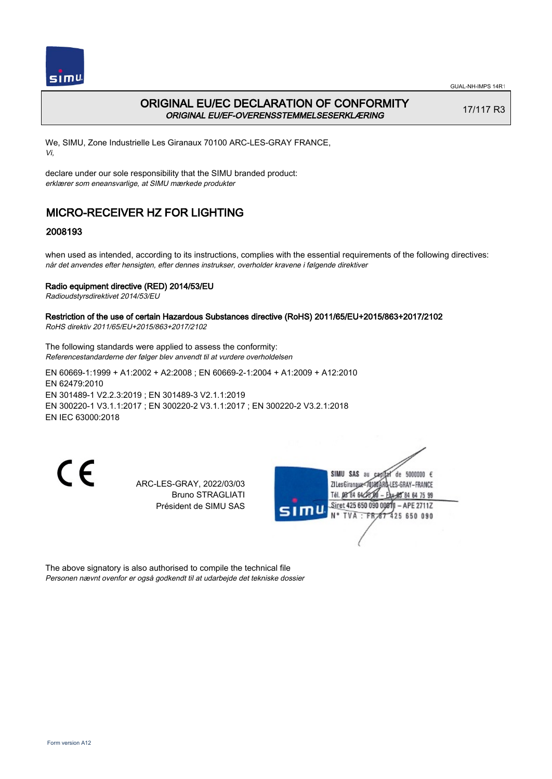

# ORIGINAL EU/EC DECLARATION OF CONFORMITY ORIGINAL EU/EF-OVERENSSTEMMELSESERKLÆRING

17/117 R3

We, SIMU, Zone Industrielle Les Giranaux 70100 ARC-LES-GRAY FRANCE, Vi,

declare under our sole responsibility that the SIMU branded product: erklærer som eneansvarlige, at SIMU mærkede produkter

# MICRO-RECEIVER HZ FOR LIGHTING

## 2008193

when used as intended, according to its instructions, complies with the essential requirements of the following directives: når det anvendes efter hensigten, efter dennes instrukser, overholder kravene i følgende direktiver

### Radio equipment directive (RED) 2014/53/EU

Radioudstyrsdirektivet 2014/53/EU

#### Restriction of the use of certain Hazardous Substances directive (RoHS) 2011/65/EU+2015/863+2017/2102 RoHS direktiv 2011/65/EU+2015/863+2017/2102

The following standards were applied to assess the conformity: Referencestandarderne der følger blev anvendt til at vurdere overholdelsen

EN 60669‑1:1999 + A1:2002 + A2:2008 ; EN 60669‑2‑1:2004 + A1:2009 + A12:2010 EN 62479:2010 EN 301489‑1 V2.2.3:2019 ; EN 301489‑3 V2.1.1:2019 EN 300220‑1 V3.1.1:2017 ; EN 300220‑2 V3.1.1:2017 ; EN 300220‑2 V3.2.1:2018 EN IEC 63000:2018

 $\epsilon$ 

ARC-LES-GRAY, 2022/03/03 Bruno STRAGLIATI Président de SIMU SAS



The above signatory is also authorised to compile the technical file Personen nævnt ovenfor er også godkendt til at udarbejde det tekniske dossier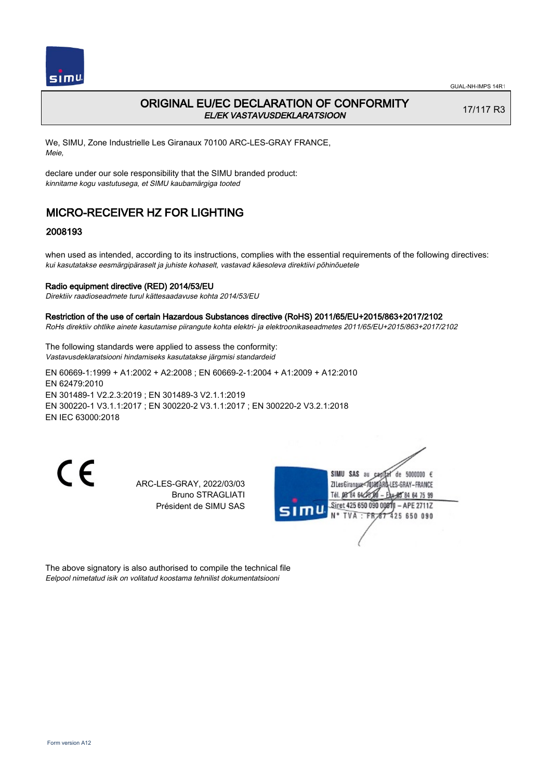

# ORIGINAL EU/EC DECLARATION OF CONFORMITY EL/EK VASTAVUSDEKLARATSIOON

17/117 R3

We, SIMU, Zone Industrielle Les Giranaux 70100 ARC-LES-GRAY FRANCE, Meie,

declare under our sole responsibility that the SIMU branded product: kinnitame kogu vastutusega, et SIMU kaubamärgiga tooted

# MICRO-RECEIVER HZ FOR LIGHTING

## 2008193

when used as intended, according to its instructions, complies with the essential requirements of the following directives: kui kasutatakse eesmärgipäraselt ja juhiste kohaselt, vastavad käesoleva direktiivi põhinõuetele

### Radio equipment directive (RED) 2014/53/EU

Direktiiv raadioseadmete turul kättesaadavuse kohta 2014/53/EU

# Restriction of the use of certain Hazardous Substances directive (RoHS) 2011/65/EU+2015/863+2017/2102

RoHs direktiiv ohtlike ainete kasutamise piirangute kohta elektri- ja elektroonikaseadmetes 2011/65/EU+2015/863+2017/2102

The following standards were applied to assess the conformity: Vastavusdeklaratsiooni hindamiseks kasutatakse järgmisi standardeid

EN 60669‑1:1999 + A1:2002 + A2:2008 ; EN 60669‑2‑1:2004 + A1:2009 + A12:2010 EN 62479:2010 EN 301489‑1 V2.2.3:2019 ; EN 301489‑3 V2.1.1:2019 EN 300220‑1 V3.1.1:2017 ; EN 300220‑2 V3.1.1:2017 ; EN 300220‑2 V3.2.1:2018 EN IEC 63000:2018

C E

ARC-LES-GRAY, 2022/03/03 Bruno STRAGLIATI Président de SIMU SAS



The above signatory is also authorised to compile the technical file Eelpool nimetatud isik on volitatud koostama tehnilist dokumentatsiooni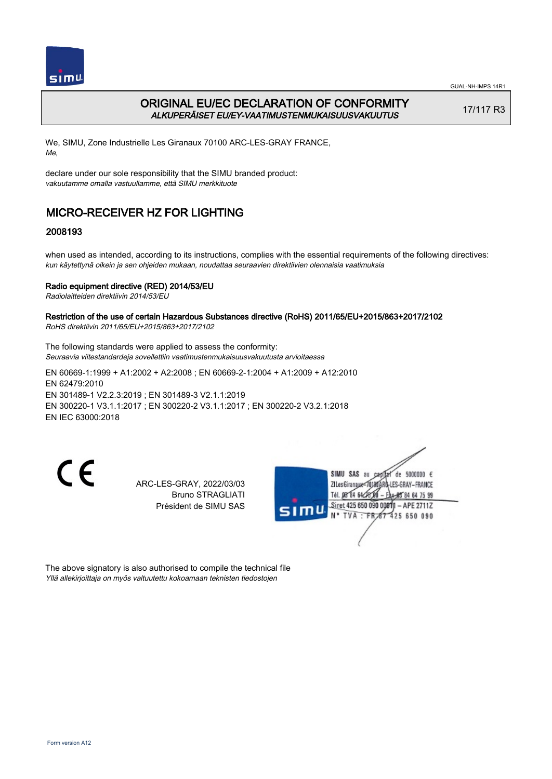

# ORIGINAL EU/EC DECLARATION OF CONFORMITY ALKUPERÄISET EU/EY-VAATIMUSTENMUKAISUUSVAKUUTUS

17/117 R3

We, SIMU, Zone Industrielle Les Giranaux 70100 ARC-LES-GRAY FRANCE, Me,

declare under our sole responsibility that the SIMU branded product: vakuutamme omalla vastuullamme, että SIMU merkkituote

# MICRO-RECEIVER HZ FOR LIGHTING

## 2008193

when used as intended, according to its instructions, complies with the essential requirements of the following directives: kun käytettynä oikein ja sen ohjeiden mukaan, noudattaa seuraavien direktiivien olennaisia vaatimuksia

### Radio equipment directive (RED) 2014/53/EU

Radiolaitteiden direktiivin 2014/53/EU

#### Restriction of the use of certain Hazardous Substances directive (RoHS) 2011/65/EU+2015/863+2017/2102 RoHS direktiivin 2011/65/EU+2015/863+2017/2102

The following standards were applied to assess the conformity:

Seuraavia viitestandardeja sovellettiin vaatimustenmukaisuusvakuutusta arvioitaessa

EN 60669‑1:1999 + A1:2002 + A2:2008 ; EN 60669‑2‑1:2004 + A1:2009 + A12:2010 EN 62479:2010 EN 301489‑1 V2.2.3:2019 ; EN 301489‑3 V2.1.1:2019 EN 300220‑1 V3.1.1:2017 ; EN 300220‑2 V3.1.1:2017 ; EN 300220‑2 V3.2.1:2018 EN IEC 63000:2018

 $\epsilon$ 

ARC-LES-GRAY, 2022/03/03 Bruno STRAGLIATI Président de SIMU SAS



The above signatory is also authorised to compile the technical file Yllä allekirjoittaja on myös valtuutettu kokoamaan teknisten tiedostojen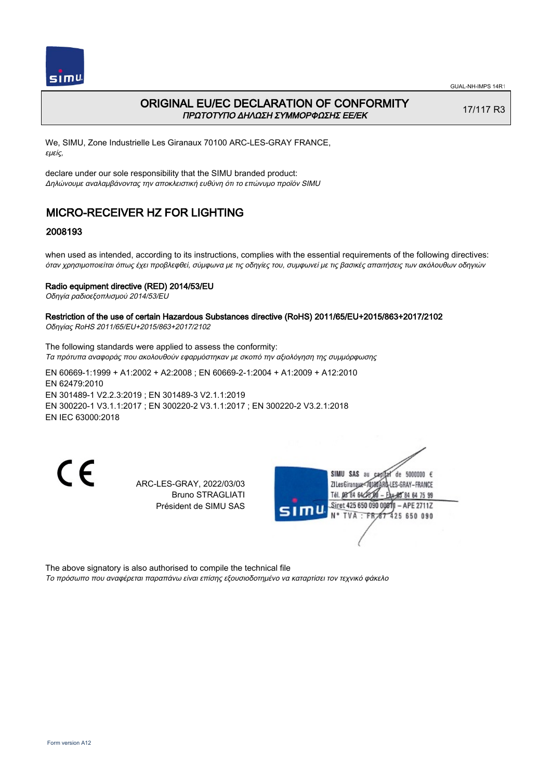

# ORIGINAL EU/EC DECLARATION OF CONFORMITY ΠΡΩΤΟΤΥΠΟ ΔΗΛΩΣΗ ΣΥΜΜΟΡΦΩΣΗΣ ΕΕ/EK

17/117 R3

We, SIMU, Zone Industrielle Les Giranaux 70100 ARC-LES-GRAY FRANCE, εμείς,

declare under our sole responsibility that the SIMU branded product: Δηλώνουμε αναλαμβάνοντας την αποκλειστική ευθύνη ότι το επώνυμο προϊόν SIMU

# MICRO-RECEIVER HZ FOR LIGHTING

## 2008193

when used as intended, according to its instructions, complies with the essential requirements of the following directives: όταν χρησιμοποιείται όπως έχει προβλεφθεί, σύμφωνα με τις οδηγίες του, συμφωνεί με τις βασικές απαιτήσεις των ακόλουθων οδηγιών

#### Radio equipment directive (RED) 2014/53/EU

Οδηγία ραδιοεξοπλισμού 2014/53/EU

#### Restriction of the use of certain Hazardous Substances directive (RoHS) 2011/65/EU+2015/863+2017/2102 Οδηγίας RoHS 2011/65/EU+2015/863+2017/2102

The following standards were applied to assess the conformity: Τα πρότυπα αναφοράς που ακολουθούν εφαρμόστηκαν με σκοπό την αξιολόγηση της συμμόρφωσης

EN 60669‑1:1999 + A1:2002 + A2:2008 ; EN 60669‑2‑1:2004 + A1:2009 + A12:2010 EN 62479:2010 EN 301489‑1 V2.2.3:2019 ; EN 301489‑3 V2.1.1:2019 EN 300220‑1 V3.1.1:2017 ; EN 300220‑2 V3.1.1:2017 ; EN 300220‑2 V3.2.1:2018 EN IEC 63000:2018

C E

ARC-LES-GRAY, 2022/03/03 Bruno STRAGLIATI Président de SIMU SAS



The above signatory is also authorised to compile the technical file

Το πρόσωπο που αναφέρεται παραπάνω είναι επίσης εξουσιοδοτημένο να καταρτίσει τον τεχνικό φάκελο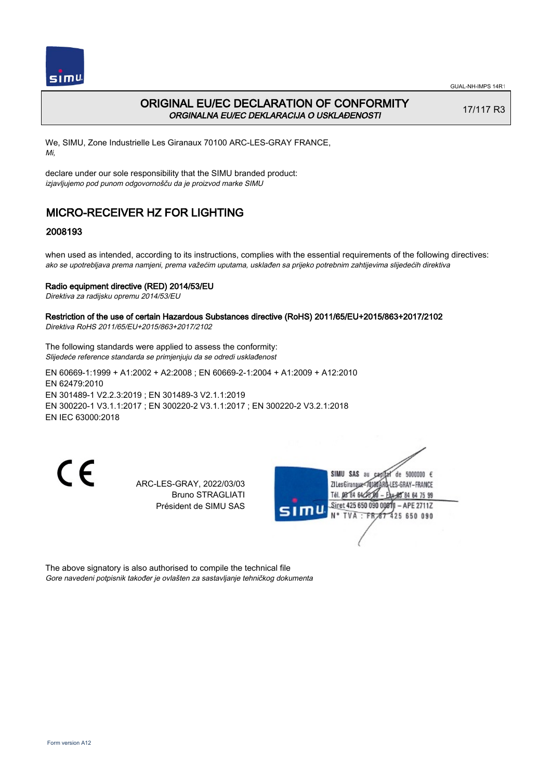

# ORIGINAL EU/EC DECLARATION OF CONFORMITY ORGINALNA EU/EC DEKLARACIJA O USKLAĐENOSTI

17/117 R3

We, SIMU, Zone Industrielle Les Giranaux 70100 ARC-LES-GRAY FRANCE, Mi,

declare under our sole responsibility that the SIMU branded product: izjavljujemo pod punom odgovornošču da je proizvod marke SIMU

# MICRO-RECEIVER HZ FOR LIGHTING

## 2008193

when used as intended, according to its instructions, complies with the essential requirements of the following directives: ako se upotrebljava prema namjeni, prema važećim uputama, usklađen sa prijeko potrebnim zahtijevima slijedećih direktiva

### Radio equipment directive (RED) 2014/53/EU

Direktiva za radijsku opremu 2014/53/EU

#### Restriction of the use of certain Hazardous Substances directive (RoHS) 2011/65/EU+2015/863+2017/2102 Direktiva RoHS 2011/65/EU+2015/863+2017/2102

The following standards were applied to assess the conformity: Slijedeće reference standarda se primjenjuju da se odredi usklađenost

EN 60669‑1:1999 + A1:2002 + A2:2008 ; EN 60669‑2‑1:2004 + A1:2009 + A12:2010 EN 62479:2010 EN 301489‑1 V2.2.3:2019 ; EN 301489‑3 V2.1.1:2019 EN 300220‑1 V3.1.1:2017 ; EN 300220‑2 V3.1.1:2017 ; EN 300220‑2 V3.2.1:2018 EN IEC 63000:2018

 $\epsilon$ 

ARC-LES-GRAY, 2022/03/03 Bruno STRAGLIATI Président de SIMU SAS



The above signatory is also authorised to compile the technical file Gore navedeni potpisnik također je ovlašten za sastavljanje tehničkog dokumenta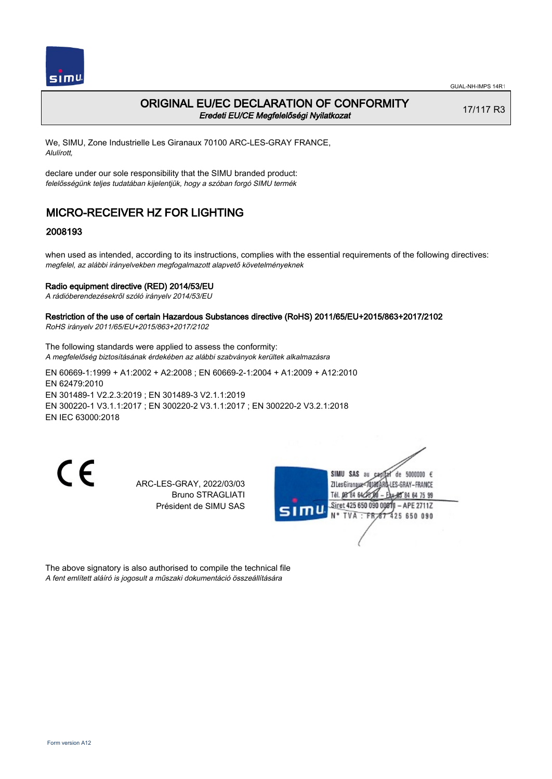

## ORIGINAL EU/EC DECLARATION OF CONFORMITY Eredeti EU/CE Megfelelőségi Nyilatkozat

17/117 R3

We, SIMU, Zone Industrielle Les Giranaux 70100 ARC-LES-GRAY FRANCE, Alulírott,

declare under our sole responsibility that the SIMU branded product: felelősségünk teljes tudatában kijelentjük, hogy a szóban forgó SIMU termék

# MICRO-RECEIVER HZ FOR LIGHTING

## 2008193

when used as intended, according to its instructions, complies with the essential requirements of the following directives: megfelel, az alábbi irányelvekben megfogalmazott alapvető követelményeknek

### Radio equipment directive (RED) 2014/53/EU

A rádióberendezésekről szóló irányelv 2014/53/EU

#### Restriction of the use of certain Hazardous Substances directive (RoHS) 2011/65/EU+2015/863+2017/2102 RoHS irányelv 2011/65/EU+2015/863+2017/2102

The following standards were applied to assess the conformity: A megfelelőség biztosításának érdekében az alábbi szabványok kerültek alkalmazásra

EN 60669‑1:1999 + A1:2002 + A2:2008 ; EN 60669‑2‑1:2004 + A1:2009 + A12:2010 EN 62479:2010 EN 301489‑1 V2.2.3:2019 ; EN 301489‑3 V2.1.1:2019 EN 300220‑1 V3.1.1:2017 ; EN 300220‑2 V3.1.1:2017 ; EN 300220‑2 V3.2.1:2018 EN IEC 63000:2018

C E

ARC-LES-GRAY, 2022/03/03 Bruno STRAGLIATI Président de SIMU SAS



The above signatory is also authorised to compile the technical file A fent említett aláíró is jogosult a műszaki dokumentáció összeállítására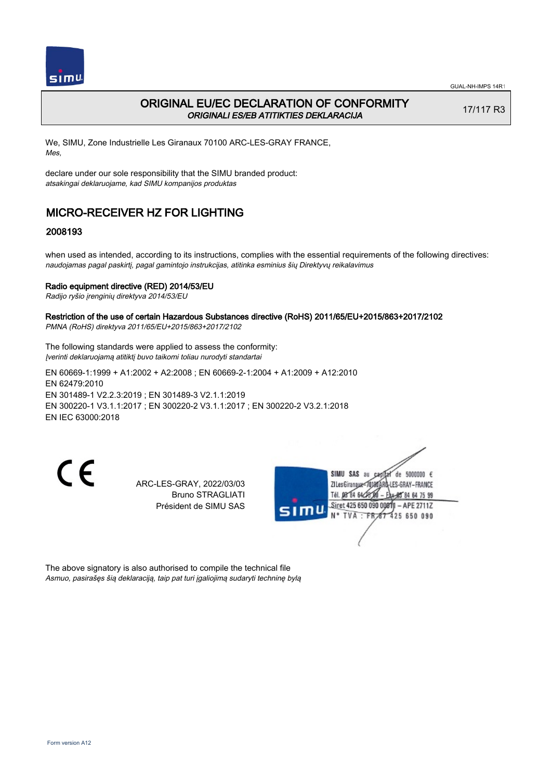

# ORIGINAL EU/EC DECLARATION OF CONFORMITY ORIGINALI ES/EB ATITIKTIES DEKLARACIJA

17/117 R3

We, SIMU, Zone Industrielle Les Giranaux 70100 ARC-LES-GRAY FRANCE, Mes,

declare under our sole responsibility that the SIMU branded product: atsakingai deklaruojame, kad SIMU kompanijos produktas

# MICRO-RECEIVER HZ FOR LIGHTING

## 2008193

when used as intended, according to its instructions, complies with the essential requirements of the following directives: naudojamas pagal paskirtį, pagal gamintojo instrukcijas, atitinka esminius šių Direktyvų reikalavimus

### Radio equipment directive (RED) 2014/53/EU

Radijo ryšio įrenginių direktyva 2014/53/EU

#### Restriction of the use of certain Hazardous Substances directive (RoHS) 2011/65/EU+2015/863+2017/2102 PMNA (RoHS) direktyva 2011/65/EU+2015/863+2017/2102

The following standards were applied to assess the conformity: Įverinti deklaruojamą atitiktį buvo taikomi toliau nurodyti standartai

EN 60669‑1:1999 + A1:2002 + A2:2008 ; EN 60669‑2‑1:2004 + A1:2009 + A12:2010 EN 62479:2010 EN 301489‑1 V2.2.3:2019 ; EN 301489‑3 V2.1.1:2019 EN 300220‑1 V3.1.1:2017 ; EN 300220‑2 V3.1.1:2017 ; EN 300220‑2 V3.2.1:2018 EN IEC 63000:2018

 $\epsilon$ 

ARC-LES-GRAY, 2022/03/03 Bruno STRAGLIATI Président de SIMU SAS



The above signatory is also authorised to compile the technical file Asmuo, pasirašęs šią deklaraciją, taip pat turi įgaliojimą sudaryti techninę bylą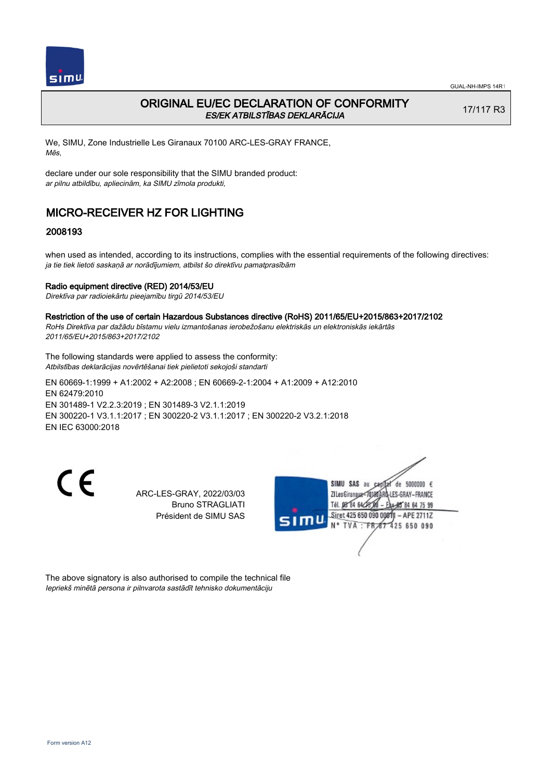

# ORIGINAL EU/EC DECLARATION OF CONFORMITY ES/EK ATBILSTĪBAS DEKLARĀCIJA

17/117 R3

We, SIMU, Zone Industrielle Les Giranaux 70100 ARC-LES-GRAY FRANCE, Mēs,

declare under our sole responsibility that the SIMU branded product: ar pilnu atbildību, apliecinām, ka SIMU zīmola produkti,

# MICRO-RECEIVER HZ FOR LIGHTING

## 2008193

when used as intended, according to its instructions, complies with the essential requirements of the following directives: ja tie tiek lietoti saskaņā ar norādījumiem, atbilst šo direktīvu pamatprasībām

#### Radio equipment directive (RED) 2014/53/EU

Direktīva par radioiekārtu pieejamību tirgū 2014/53/EU

Restriction of the use of certain Hazardous Substances directive (RoHS) 2011/65/EU+2015/863+2017/2102

RoHs Direktīva par dažādu bīstamu vielu izmantošanas ierobežošanu elektriskās un elektroniskās iekārtās 2011/65/EU+2015/863+2017/2102

The following standards were applied to assess the conformity: Atbilstības deklarācijas novērtēšanai tiek pielietoti sekojoši standarti

EN 60669‑1:1999 + A1:2002 + A2:2008 ; EN 60669‑2‑1:2004 + A1:2009 + A12:2010 EN 62479:2010 EN 301489‑1 V2.2.3:2019 ; EN 301489‑3 V2.1.1:2019 EN 300220‑1 V3.1.1:2017 ; EN 300220‑2 V3.1.1:2017 ; EN 300220‑2 V3.2.1:2018 EN IEC 63000:2018

CE

ARC-LES-GRAY, 2022/03/03 Bruno STRAGLIATI Président de SIMU SAS



The above signatory is also authorised to compile the technical file Iepriekš minētā persona ir pilnvarota sastādīt tehnisko dokumentāciju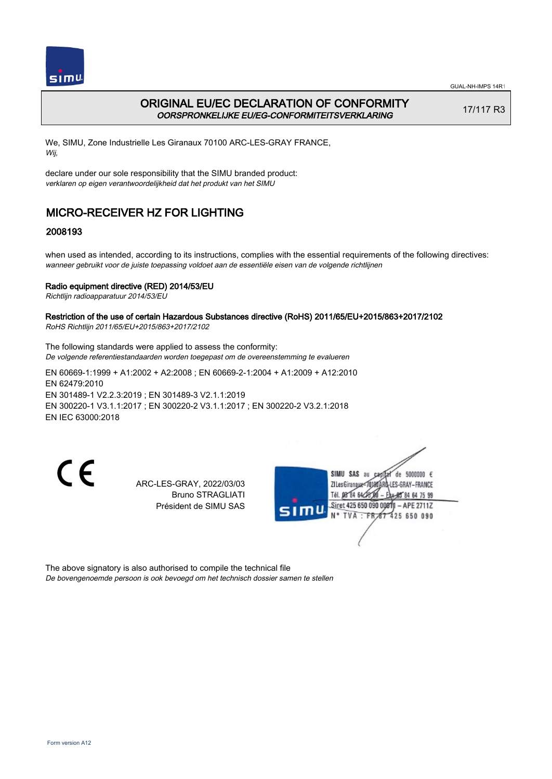

# ORIGINAL EU/EC DECLARATION OF CONFORMITY OORSPRONKELIJKE EU/EG-CONFORMITEITSVERKLARING

17/117 R3

We, SIMU, Zone Industrielle Les Giranaux 70100 ARC-LES-GRAY FRANCE, Wij,

declare under our sole responsibility that the SIMU branded product: verklaren op eigen verantwoordelijkheid dat het produkt van het SIMU

# MICRO-RECEIVER HZ FOR LIGHTING

## 2008193

when used as intended, according to its instructions, complies with the essential requirements of the following directives: wanneer gebruikt voor de juiste toepassing voldoet aan de essentiële eisen van de volgende richtlijnen

### Radio equipment directive (RED) 2014/53/EU

Richtlijn radioapparatuur 2014/53/EU

#### Restriction of the use of certain Hazardous Substances directive (RoHS) 2011/65/EU+2015/863+2017/2102 RoHS Richtlijn 2011/65/EU+2015/863+2017/2102

The following standards were applied to assess the conformity: De volgende referentiestandaarden worden toegepast om de overeenstemming te evalueren

EN 60669‑1:1999 + A1:2002 + A2:2008 ; EN 60669‑2‑1:2004 + A1:2009 + A12:2010 EN 62479:2010 EN 301489‑1 V2.2.3:2019 ; EN 301489‑3 V2.1.1:2019 EN 300220‑1 V3.1.1:2017 ; EN 300220‑2 V3.1.1:2017 ; EN 300220‑2 V3.2.1:2018 EN IEC 63000:2018

 $\epsilon$ 

ARC-LES-GRAY, 2022/03/03 Bruno STRAGLIATI Président de SIMU SAS



The above signatory is also authorised to compile the technical file De bovengenoemde persoon is ook bevoegd om het technisch dossier samen te stellen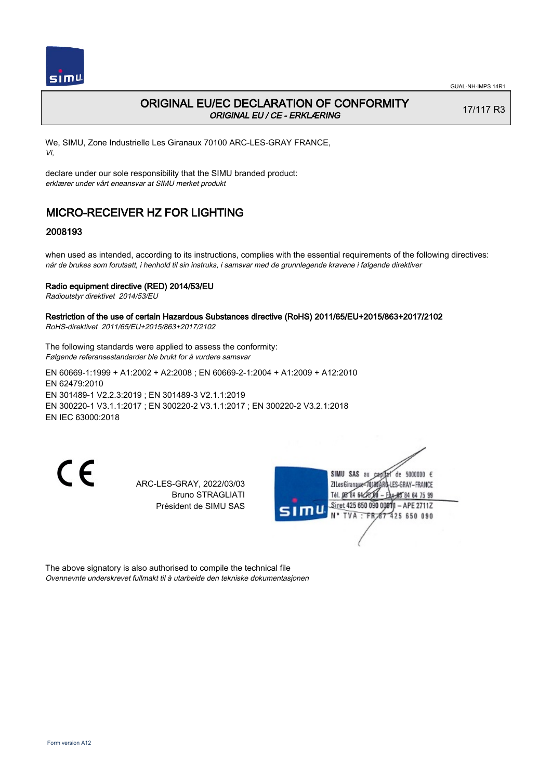

# ORIGINAL EU/EC DECLARATION OF CONFORMITY ORIGINAL EU / CE - ERKLÆRING

17/117 R3

We, SIMU, Zone Industrielle Les Giranaux 70100 ARC-LES-GRAY FRANCE, Vi,

declare under our sole responsibility that the SIMU branded product: erklærer under vårt eneansvar at SIMU merket produkt

# MICRO-RECEIVER HZ FOR LIGHTING

## 2008193

when used as intended, according to its instructions, complies with the essential requirements of the following directives: når de brukes som forutsatt, i henhold til sin instruks, i samsvar med de grunnlegende kravene i følgende direktiver

### Radio equipment directive (RED) 2014/53/EU

Radioutstyr direktivet 2014/53/EU

#### Restriction of the use of certain Hazardous Substances directive (RoHS) 2011/65/EU+2015/863+2017/2102 RoHS-direktivet 2011/65/EU+2015/863+2017/2102

The following standards were applied to assess the conformity: Følgende referansestandarder ble brukt for å vurdere samsvar

EN 60669‑1:1999 + A1:2002 + A2:2008 ; EN 60669‑2‑1:2004 + A1:2009 + A12:2010 EN 62479:2010 EN 301489‑1 V2.2.3:2019 ; EN 301489‑3 V2.1.1:2019 EN 300220‑1 V3.1.1:2017 ; EN 300220‑2 V3.1.1:2017 ; EN 300220‑2 V3.2.1:2018 EN IEC 63000:2018

 $\epsilon$ 

ARC-LES-GRAY, 2022/03/03 Bruno STRAGLIATI Président de SIMU SAS



The above signatory is also authorised to compile the technical file Ovennevnte underskrevet fullmakt til å utarbeide den tekniske dokumentasjonen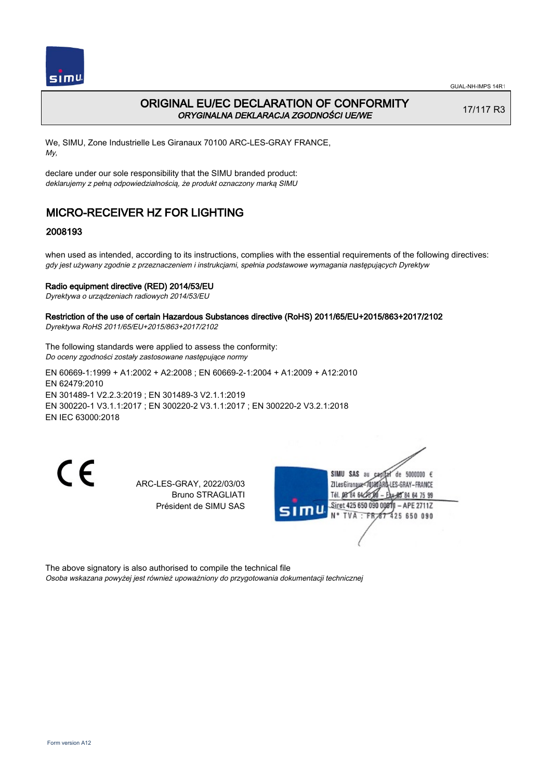

# ORIGINAL EU/EC DECLARATION OF CONFORMITY ORYGINALNA DEKLARACJA ZGODNOŚCI UE/WE

17/117 R3

We, SIMU, Zone Industrielle Les Giranaux 70100 ARC-LES-GRAY FRANCE, My,

declare under our sole responsibility that the SIMU branded product: deklarujemy z pełną odpowiedzialnością, że produkt oznaczony marką SIMU

# MICRO-RECEIVER HZ FOR LIGHTING

## 2008193

when used as intended, according to its instructions, complies with the essential requirements of the following directives: gdy jest używany zgodnie z przeznaczeniem i instrukcjami, spełnia podstawowe wymagania następujących Dyrektyw

#### Radio equipment directive (RED) 2014/53/EU

Dyrektywa o urządzeniach radiowych 2014/53/EU

#### Restriction of the use of certain Hazardous Substances directive (RoHS) 2011/65/EU+2015/863+2017/2102 Dyrektywa RoHS 2011/65/EU+2015/863+2017/2102

The following standards were applied to assess the conformity:

Do oceny zgodności zostały zastosowane następujące normy

EN 60669‑1:1999 + A1:2002 + A2:2008 ; EN 60669‑2‑1:2004 + A1:2009 + A12:2010 EN 62479:2010 EN 301489‑1 V2.2.3:2019 ; EN 301489‑3 V2.1.1:2019 EN 300220‑1 V3.1.1:2017 ; EN 300220‑2 V3.1.1:2017 ; EN 300220‑2 V3.2.1:2018 EN IEC 63000:2018

C E

ARC-LES-GRAY, 2022/03/03 Bruno STRAGLIATI Président de SIMU SAS



The above signatory is also authorised to compile the technical file Osoba wskazana powyżej jest również upoważniony do przygotowania dokumentacji technicznej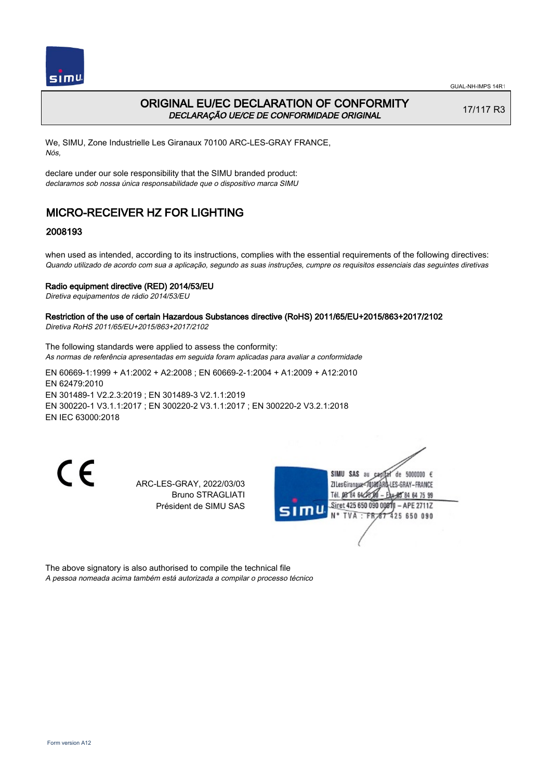

# ORIGINAL EU/EC DECLARATION OF CONFORMITY DECLARAÇÃO UE/CE DE CONFORMIDADE ORIGINAL

17/117 R3

We, SIMU, Zone Industrielle Les Giranaux 70100 ARC-LES-GRAY FRANCE, Nós,

declare under our sole responsibility that the SIMU branded product: declaramos sob nossa única responsabilidade que o dispositivo marca SIMU

# MICRO-RECEIVER HZ FOR LIGHTING

## 2008193

when used as intended, according to its instructions, complies with the essential requirements of the following directives: Quando utilizado de acordo com sua a aplicação, segundo as suas instruções, cumpre os requisitos essenciais das seguintes diretivas

#### Radio equipment directive (RED) 2014/53/EU

Diretiva equipamentos de rádio 2014/53/EU

#### Restriction of the use of certain Hazardous Substances directive (RoHS) 2011/65/EU+2015/863+2017/2102 Diretiva RoHS 2011/65/EU+2015/863+2017/2102

The following standards were applied to assess the conformity:

As normas de referência apresentadas em seguida foram aplicadas para avaliar a conformidade

EN 60669‑1:1999 + A1:2002 + A2:2008 ; EN 60669‑2‑1:2004 + A1:2009 + A12:2010 EN 62479:2010 EN 301489‑1 V2.2.3:2019 ; EN 301489‑3 V2.1.1:2019 EN 300220‑1 V3.1.1:2017 ; EN 300220‑2 V3.1.1:2017 ; EN 300220‑2 V3.2.1:2018 EN IEC 63000:2018

C E

ARC-LES-GRAY, 2022/03/03 Bruno STRAGLIATI Président de SIMU SAS



The above signatory is also authorised to compile the technical file A pessoa nomeada acima também está autorizada a compilar o processo técnico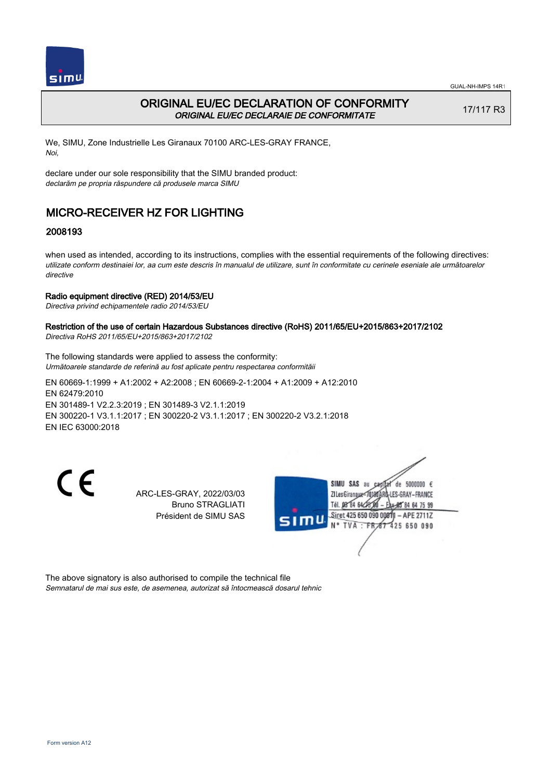

# ORIGINAL EU/EC DECLARATION OF CONFORMITY ORIGINAL EU/EC DECLARAIE DE CONFORMITATE

17/117 R3

We, SIMU, Zone Industrielle Les Giranaux 70100 ARC-LES-GRAY FRANCE, Noi,

declare under our sole responsibility that the SIMU branded product: declarăm pe propria răspundere că produsele marca SIMU

# MICRO-RECEIVER HZ FOR LIGHTING

## 2008193

when used as intended, according to its instructions, complies with the essential requirements of the following directives: utilizate conform destinaiei lor, aa cum este descris în manualul de utilizare, sunt în conformitate cu cerinele eseniale ale următoarelor directive

#### Radio equipment directive (RED) 2014/53/EU

Directiva privind echipamentele radio 2014/53/EU

# Restriction of the use of certain Hazardous Substances directive (RoHS) 2011/65/EU+2015/863+2017/2102

Directiva RoHS 2011/65/EU+2015/863+2017/2102

The following standards were applied to assess the conformity: Următoarele standarde de referină au fost aplicate pentru respectarea conformităii

EN 60669‑1:1999 + A1:2002 + A2:2008 ; EN 60669‑2‑1:2004 + A1:2009 + A12:2010 EN 62479:2010 EN 301489‑1 V2.2.3:2019 ; EN 301489‑3 V2.1.1:2019 EN 300220‑1 V3.1.1:2017 ; EN 300220‑2 V3.1.1:2017 ; EN 300220‑2 V3.2.1:2018 EN IEC 63000:2018

CE

ARC-LES-GRAY, 2022/03/03 Bruno STRAGLIATI Président de SIMU SAS



The above signatory is also authorised to compile the technical file Semnatarul de mai sus este, de asemenea, autorizat să întocmească dosarul tehnic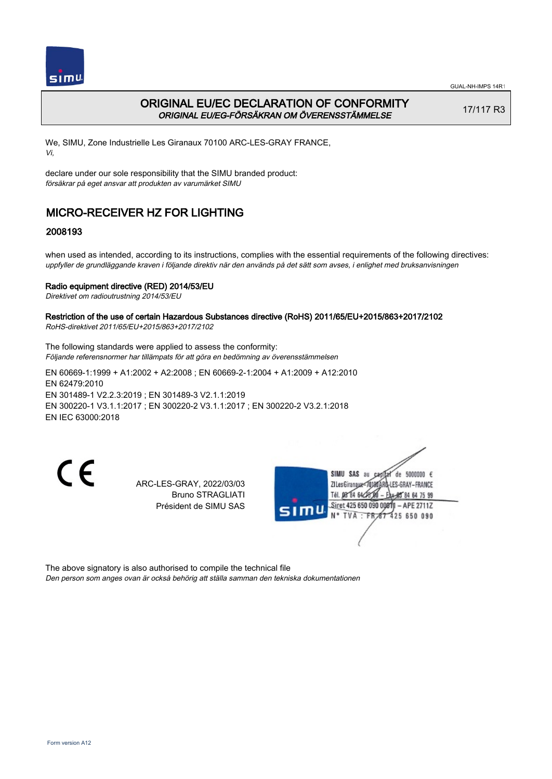

# ORIGINAL EU/EC DECLARATION OF CONFORMITY ORIGINAL EU/EG-FÖRSÄKRAN OM ÖVERENSSTÄMMELSE

17/117 R3

We, SIMU, Zone Industrielle Les Giranaux 70100 ARC-LES-GRAY FRANCE, Vi,

declare under our sole responsibility that the SIMU branded product: försäkrar på eget ansvar att produkten av varumärket SIMU

# MICRO-RECEIVER HZ FOR LIGHTING

## 2008193

when used as intended, according to its instructions, complies with the essential requirements of the following directives: uppfyller de grundläggande kraven i följande direktiv när den används på det sätt som avses, i enlighet med bruksanvisningen

#### Radio equipment directive (RED) 2014/53/EU

Direktivet om radioutrustning 2014/53/EU

#### Restriction of the use of certain Hazardous Substances directive (RoHS) 2011/65/EU+2015/863+2017/2102 RoHS-direktivet 2011/65/EU+2015/863+2017/2102

The following standards were applied to assess the conformity: Följande referensnormer har tillämpats för att göra en bedömning av överensstämmelsen

EN 60669‑1:1999 + A1:2002 + A2:2008 ; EN 60669‑2‑1:2004 + A1:2009 + A12:2010 EN 62479:2010 EN 301489‑1 V2.2.3:2019 ; EN 301489‑3 V2.1.1:2019 EN 300220‑1 V3.1.1:2017 ; EN 300220‑2 V3.1.1:2017 ; EN 300220‑2 V3.2.1:2018 EN IEC 63000:2018

 $\epsilon$ 

ARC-LES-GRAY, 2022/03/03 Bruno STRAGLIATI Président de SIMU SAS



The above signatory is also authorised to compile the technical file Den person som anges ovan är också behörig att ställa samman den tekniska dokumentationen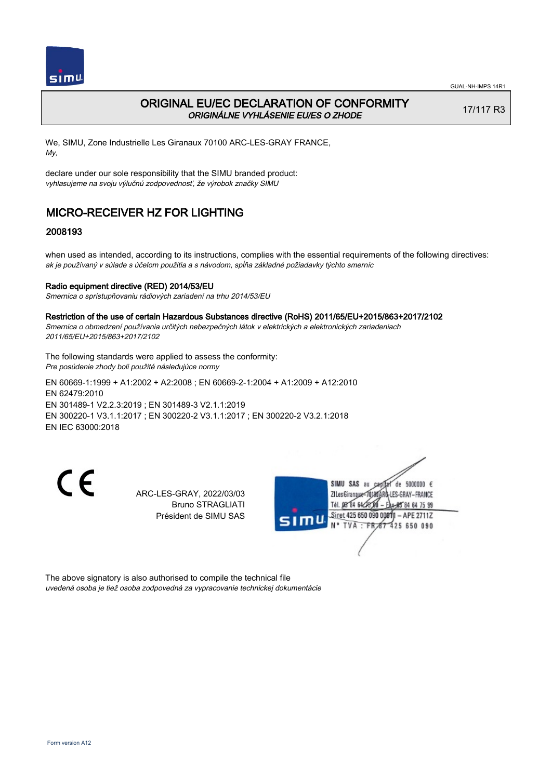

# ORIGINAL EU/EC DECLARATION OF CONFORMITY ORIGINÁLNE VYHLÁSENIE EU/ES O ZHODE

17/117 R3

We, SIMU, Zone Industrielle Les Giranaux 70100 ARC-LES-GRAY FRANCE, My,

declare under our sole responsibility that the SIMU branded product: vyhlasujeme na svoju výlučnú zodpovednosť, že výrobok značky SIMU

# MICRO-RECEIVER HZ FOR LIGHTING

## 2008193

when used as intended, according to its instructions, complies with the essential requirements of the following directives: ak je používaný v súlade s účelom použitia a s návodom, spĺňa základné požiadavky týchto smerníc

#### Radio equipment directive (RED) 2014/53/EU

Smernica o sprístupňovaniu rádiových zariadení na trhu 2014/53/EU

#### Restriction of the use of certain Hazardous Substances directive (RoHS) 2011/65/EU+2015/863+2017/2102

Smernica o obmedzení používania určitých nebezpečných látok v elektrických a elektronických zariadeniach 2011/65/EU+2015/863+2017/2102

The following standards were applied to assess the conformity: Pre posúdenie zhody boli použité následujúce normy

EN 60669‑1:1999 + A1:2002 + A2:2008 ; EN 60669‑2‑1:2004 + A1:2009 + A12:2010 EN 62479:2010 EN 301489‑1 V2.2.3:2019 ; EN 301489‑3 V2.1.1:2019 EN 300220‑1 V3.1.1:2017 ; EN 300220‑2 V3.1.1:2017 ; EN 300220‑2 V3.2.1:2018 EN IEC 63000:2018

 $\epsilon$ 

ARC-LES-GRAY, 2022/03/03 Bruno STRAGLIATI Président de SIMU SAS



The above signatory is also authorised to compile the technical file uvedená osoba je tiež osoba zodpovedná za vypracovanie technickej dokumentácie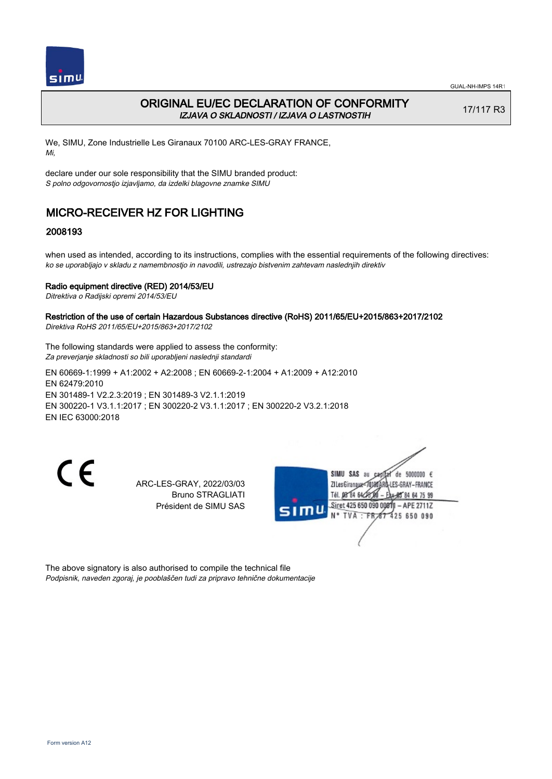

# ORIGINAL EU/EC DECLARATION OF CONFORMITY IZJAVA O SKLADNOSTI / IZJAVA O LASTNOSTIH

17/117 R3

We, SIMU, Zone Industrielle Les Giranaux 70100 ARC-LES-GRAY FRANCE, Mi,

declare under our sole responsibility that the SIMU branded product: S polno odgovornostjo izjavljamo, da izdelki blagovne znamke SIMU

# MICRO-RECEIVER HZ FOR LIGHTING

## 2008193

when used as intended, according to its instructions, complies with the essential requirements of the following directives: ko se uporabljajo v skladu z namembnostjo in navodili, ustrezajo bistvenim zahtevam naslednjih direktiv

### Radio equipment directive (RED) 2014/53/EU

Ditrektiva o Radijski opremi 2014/53/EU

#### Restriction of the use of certain Hazardous Substances directive (RoHS) 2011/65/EU+2015/863+2017/2102 Direktiva RoHS 2011/65/EU+2015/863+2017/2102

The following standards were applied to assess the conformity: Za preverjanje skladnosti so bili uporabljeni naslednji standardi

EN 60669‑1:1999 + A1:2002 + A2:2008 ; EN 60669‑2‑1:2004 + A1:2009 + A12:2010 EN 62479:2010 EN 301489‑1 V2.2.3:2019 ; EN 301489‑3 V2.1.1:2019 EN 300220‑1 V3.1.1:2017 ; EN 300220‑2 V3.1.1:2017 ; EN 300220‑2 V3.2.1:2018 EN IEC 63000:2018

 $\epsilon$ 

ARC-LES-GRAY, 2022/03/03 Bruno STRAGLIATI Président de SIMU SAS



The above signatory is also authorised to compile the technical file Podpisnik, naveden zgoraj, je pooblaščen tudi za pripravo tehnične dokumentacije